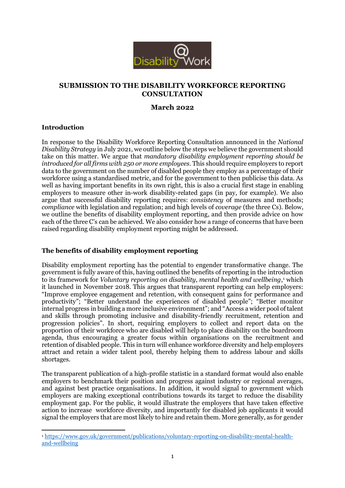

# **SUBMISSION TO THE DISABILITY WORKFORCE REPORTING CONSULTATION**

## **March 2022**

## **Introduction**

In response to the Disability Workforce Reporting Consultation announced in the *National Disability Strategy* in July 2021, we outline below the steps we believe the government should take on this matter. We argue that *mandatory disability employment reporting should be introduced for all firms with 250 or more employees*. This should require employers to report data to the government on the number of disabled people they employ as a percentage of their workforce using a standardised metric, and for the government to then publicise this data. As well as having important benefits in its own right, this is also a crucial first stage in enabling employers to measure other in-work disability-related gaps (in pay, for example). We also argue that successful disability reporting requires: *consistency* of measures and methods; *compliance* with legislation and regulation; and high levels of *coverage* (the three Cs). Below, we outline the benefits of disability employment reporting, and then provide advice on how each of the three C's can be achieved. We also consider how a range of concerns that have been raised regarding disability employment reporting might be addressed.

## **The benefits of disability employment reporting**

Disability employment reporting has the potential to engender transformative change. The government is fully aware of this, having outlined the benefits of reporting in the introduction to its framework for *Voluntary reporting on disability, mental health and wellbeing*, <sup>1</sup> which it launched in November 2018. This argues that transparent reporting can help employers: "Improve employee engagement and retention, with consequent gains for performance and productivity"; "Better understand the experiences of disabled people"; "Better monitor internal progress in building a more inclusive environment"; and "Access a wider pool of talent and skills through promoting inclusive and disability-friendly recruitment, retention and progression policies". In short, requiring employers to collect and report data on the proportion of their workforce who are disabled will help to place disability on the boardroom agenda, thus encouraging a greater focus within organisations on the recruitment and retention of disabled people. This in turn will enhance workforce diversity and help employers attract and retain a wider talent pool, thereby helping them to address labour and skills shortages.

The transparent publication of a high-profile statistic in a standard format would also enable employers to benchmark their position and progress against industry or regional averages, and against best practice organisations. In addition, it would signal to government which employers are making exceptional contributions towards its target to reduce the disability employment gap. For the public, it would illustrate the employers that have taken effective action to increase workforce diversity, and importantly for disabled job applicants it would signal the employers that are most likely to hire and retain them. More generally, as for gender

<sup>1</sup> <sup>1</sup> [https://www.gov.uk/government/publications/voluntary-reporting-on-disability-mental-health](https://www.gov.uk/government/publications/voluntary-reporting-on-disability-mental-health-and-wellbeing)[and-wellbeing](https://www.gov.uk/government/publications/voluntary-reporting-on-disability-mental-health-and-wellbeing)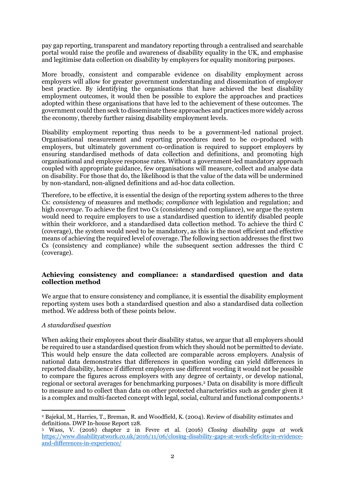pay gap reporting, transparent and mandatory reporting through a centralised and searchable portal would raise the profile and awareness of disability equality in the UK, and emphasise and legitimise data collection on disability by employers for equality monitoring purposes.

More broadly, consistent and comparable evidence on disability employment across employers will allow for greater government understanding and dissemination of employer best practice. By identifying the organisations that have achieved the best disability employment outcomes, it would then be possible to explore the approaches and practices adopted within these organisations that have led to the achievement of these outcomes. The government could then seek to disseminate these approaches and practices more widely across the economy, thereby further raising disability employment levels.

Disability employment reporting thus needs to be a government-led national project. Organisational measurement and reporting procedures need to be co-produced with employers, but ultimately government co-ordination is required to support employers by ensuring standardised methods of data collection and definitions, and promoting high organisational and employee response rates. Without a government-led mandatory approach coupled with appropriate guidance, few organisations will measure, collect and analyse data on disability. For those that do, the likelihood is that the value of the data will be undermined by non-standard, non-aligned definitions and ad-hoc data collection.

Therefore, to be effective, it is essential the design of the reporting system adheres to the three Cs: *consistency* of measures and methods; *compliance* with legislation and regulation; and high *coverage*. To achieve the first two Cs (consistency and compliance), we argue the system would need to require employers to use a standardised question to identify disabled people within their workforce, and a standardised data collection method. To achieve the third C (coverage), the system would need to be mandatory, as this is the most efficient and effective means of achieving the required level of coverage. The following section addresses the first two Cs (consistency and compliance) while the subsequent section addresses the third C (coverage).

## **Achieving consistency and compliance: a standardised question and data collection method**

We argue that to ensure consistency and compliance, it is essential the disability employment reporting system uses both a standardised question and also a standardised data collection method. We address both of these points below.

## *A standardised question*

When asking their employees about their disability status, we argue that all employers should be required to use a standardised question from which they should not be permitted to deviate. This would help ensure the data collected are comparable across employers. Analysis of national data demonstrates that differences in question wording can yield differences in reported disability, hence if different employers use different wording it would not be possible to compare the figures across employers with any degree of certainty, or develop national, regional or sectoral averages for benchmarking purposes. <sup>2</sup> Data on disability is more difficult to measure and to collect than data on other protected characteristics such as gender given it is a complex and multi-faceted concept with legal, social, cultural and functional components.<sup>3</sup>

<sup>1</sup> <sup>2</sup> Bajekal, M., Harries, T., Breman, R. and Woodfield, K. (2004). Review of disability estimates and definitions. DWP In-house Report 128.

<sup>3</sup> Wass, V. (2016) chapter 2 in Fevre et al. (2016) *Closing disability gaps at* work [https://www.disabilityatwork.co.uk/2016/11/06/closing-disability-gaps-at-work-deficits-in-evidence](https://www.disabilityatwork.co.uk/2016/11/06/closing-disability-gaps-at-work-deficits-in-evidence-and-differences-in-experience/)[and-differences-in-experience/](https://www.disabilityatwork.co.uk/2016/11/06/closing-disability-gaps-at-work-deficits-in-evidence-and-differences-in-experience/)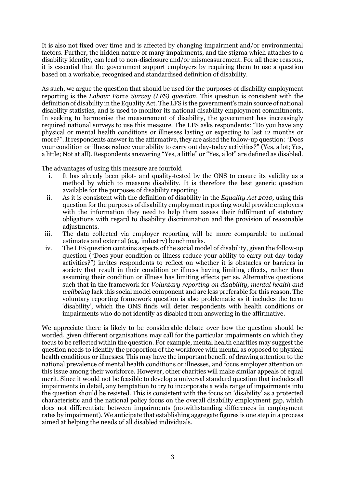It is also not fixed over time and is affected by changing impairment and/or environmental factors. Further, the hidden nature of many impairments, and the stigma which attaches to a disability identity, can lead to non-disclosure and/or mismeasurement. For all these reasons, it is essential that the government support employers by requiring them to use a question based on a workable, recognised and standardised definition of disability.

As such, we argue the question that should be used for the purposes of disability employment reporting is the *Labour Force Survey (LFS) question.* This question is consistent with the definition of disability in the Equality Act. The LFS is the government's main source of national disability statistics, and is used to monitor its national disability employment commitments. In seeking to harmonise the measurement of disability, the government has increasingly required national surveys to use this measure. The LFS asks respondents: "Do you have any physical or mental health conditions or illnesses lasting or expecting to last 12 months or more?". If respondents answer in the affirmative, they are asked the follow-up question: "Does your condition or illness reduce your ability to carry out day-today activities?" (Yes, a lot; Yes, a little; Not at all). Respondents answering "Yes, a little" or "Yes, a lot" are defined as disabled.

The advantages of using this measure are fourfold

- i. It has already been pilot- and quality-tested by the ONS to ensure its validity as a method by which to measure disability. It is therefore the best generic question available for the purposes of disability reporting.
- ii. As it is consistent with the definition of disability in the *Equality Act 2010,* using this question for the purposes of disability employment reporting would provide employers with the information they need to help them assess their fulfilment of statutory obligations with regard to disability discrimination and the provision of reasonable adjustments.
- iii. The data collected via employer reporting will be more comparable to national estimates and external (e.g. industry) benchmarks.
- iv. The LFS question contains aspects of the social model of disability, given the follow-up question ("Does your condition or illness reduce your ability to carry out day-today activities?") invites respondents to reflect on whether it is obstacles or barriers in society that result in their condition or illness having limiting effects, rather than assuming their condition or illness has limiting effects per se. Alternative questions such that in the framework for *Voluntary reporting on disability, mental health and wellbeing* lack this social model component and are less preferable for this reason. The voluntary reporting framework question is also problematic as it includes the term 'disability', which the ONS finds will deter respondents with health conditions or impairments who do not identify as disabled from answering in the affirmative.

We appreciate there is likely to be considerable debate over how the question should be worded, given different organisations may call for the particular impairments on which they focus to be reflected within the question. For example, mental health charities may suggest the question needs to identify the proportion of the workforce with mental as opposed to physical health conditions or illnesses. This may have the important benefit of drawing attention to the national prevalence of mental health conditions or illnesses, and focus employer attention on this issue among their workforce. However, other charities will make similar appeals of equal merit. Since it would not be feasible to develop a universal standard question that includes all impairments in detail, any temptation to try to incorporate a wide range of impairments into the question should be resisted. This is consistent with the focus on 'disability' as a protected characteristic and the national policy focus on the overall disability employment gap, which does not differentiate between impairments (notwithstanding differences in employment rates by impairment). We anticipate that establishing aggregate figures is one step in a process aimed at helping the needs of all disabled individuals.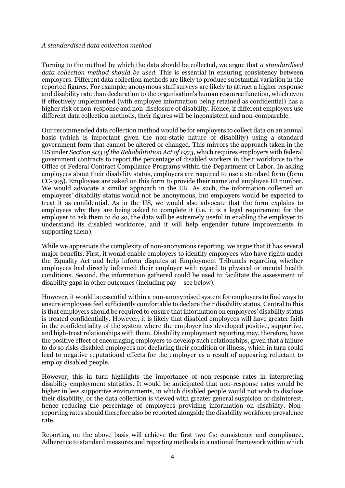#### *A standardised data collection method*

Turning to the method by which the data should be collected, we argue that *a standardised data collection method should be used*. This is essential in ensuring consistency between employers. Different data collection methods are likely to produce substantial variation in the reported figures. For example, anonymous staff surveys are likely to attract a higher response and disability rate than declaration to the organisation's human resource function, which even if effectively implemented (with employee information being retained as confidential) has a higher risk of non-response and non-disclosure of disability. Hence, if different employers use different data collection methods, their figures will be inconsistent and non-comparable.

Our recommended data collection method would be for employers to collect data on an annual basis (which is important given the non-static nature of disability) using a standard government form that cannot be altered or changed. This mirrors the approach taken in the US under *Section 503 of the Rehabilitation Act of 1973*, which requires employers with federal government contracts to report the percentage of disabled workers in their workforce to the Office of Federal Contract Compliance Programs within the Department of Labor. In asking employees about their disability status, employers are required to use a standard form (form CC-305). Employees are asked on this form to provide their name and employee ID number. We would advocate a similar approach in the UK. As such, the information collected on employees' disability status would not be anonymous, but employers would be expected to treat it as confidential. As in the US, we would also advocate that the form explains to employees why they are being asked to complete it (i.e. it is a legal requirement for the employer to ask them to do so, the data will be extremely useful in enabling the employer to understand its disabled workforce, and it will help engender future improvements in supporting them).

While we appreciate the complexity of non-anonymous reporting, we argue that it has several major benefits. First, it would enable employers to identify employees who have rights under the Equality Act and help inform disputes at Employment Tribunals regarding whether employees had directly informed their employer with regard to physical or mental health conditions. Second, the information gathered could be used to facilitate the assessment of disability gaps in other outcomes (including pay – see below).

However, it would be essential within a non-anonymised system for employers to find ways to ensure employees feel sufficiently comfortable to declare their disability status. Central to this is that employers should be required to ensure that information on employees' disability status is treated confidentially. However, it is likely that disabled employees will have greater faith in the confidentiality of the system where the employer has developed positive, supportive, and high-trust relationships with them. Disability employment reporting may, therefore, have the positive effect of encouraging employers to develop such relationships, given that a failure to do so risks disabled employees not declaring their condition or illness, which in turn could lead to negative reputational effects for the employer as a result of appearing reluctant to employ disabled people.

However, this in turn highlights the importance of non-response rates in interpreting disability employment statistics. It would be anticipated that non-response rates would be higher in less supportive environments, in which disabled people would not wish to disclose their disability, or the data collection is viewed with greater general suspicion or disinterest, hence reducing the percentage of employees providing information on disability. Nonreporting rates should therefore also be reported alongside the disability workforce prevalence rate.

Reporting on the above basis will achieve the first two Cs: consistency and compliance. Adherence to standard measures and reporting methods in a national framework within which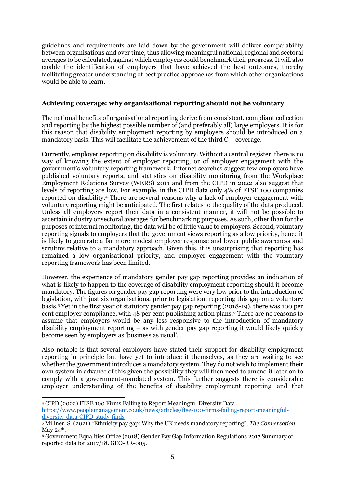guidelines and requirements are laid down by the government will deliver comparability between organisations and over time, thus allowing meaningful national, regional and sectoral averages to be calculated, against which employers could benchmark their progress. It will also enable the identification of employers that have achieved the best outcomes, thereby facilitating greater understanding of best practice approaches from which other organisations would be able to learn.

### **Achieving coverage: why organisational reporting should not be voluntary**

The national benefits of organisational reporting derive from consistent, compliant collection and reporting by the highest possible number of (and preferably all) large employers. It is for this reason that disability employment reporting by employers should be introduced on a mandatory basis. This will facilitate the achievement of the third C – coverage.

Currently, employer reporting on disability is voluntary. Without a central register, there is no way of knowing the extent of employer reporting, or of employer engagement with the government's voluntary reporting framework. Internet searches suggest few employers have published voluntary reports, and statistics on disability monitoring from the Workplace Employment Relations Survey (WERS) 2011 and from the CIPD in 2022 also suggest that levels of reporting are low. For example, in the CIPD data only 4% of FTSE 100 companies reported on disability.<sup>4</sup> There are several reasons why a lack of employer engagement with voluntary reporting might be anticipated. The first relates to the quality of the data produced. Unless all employers report their data in a consistent manner, it will not be possible to ascertain industry or sectoral averages for benchmarking purposes. As such, other than for the purposes of internal monitoring, the data will be of little value to employers. Second, voluntary reporting signals to employers that the government views reporting as a low priority, hence it is likely to generate a far more modest employer response and lower public awareness and scrutiny relative to a mandatory approach. Given this, it is unsurprising that reporting has remained a low organisational priority, and employer engagement with the voluntary reporting framework has been limited.

However, the experience of mandatory gender pay gap reporting provides an indication of what is likely to happen to the coverage of disability employment reporting should it become mandatory. The figures on gender pay gap reporting were very low prior to the introduction of legislation, with just six organisations, prior to legislation, reporting this gap on a voluntary basis.<sup>5</sup> Yet in the first year of statutory gender pay gap reporting (2018-19), there was 100 per cent employer compliance, with 48 per cent publishing action plans.<sup>6</sup> There are no reasons to assume that employers would be any less responsive to the introduction of mandatory disability employment reporting – as with gender pay gap reporting it would likely quickly become seen by employers as 'business as usual'.

Also notable is that several employers have stated their support for disability employment reporting in principle but have yet to introduce it themselves, as they are waiting to see whether the government introduces a mandatory system. They do not wish to implement their own system in advance of this given the possibility they will then need to amend it later on to comply with a government-mandated system. This further suggests there is considerable employer understanding of the benefits of disability employment reporting, and that

1 <sup>4</sup> CIPD (2022) FTSE 100 Firms Failing to Report Meaningful Diversity Data [https://www.peoplemanagement.co.uk/news/articles/ftse-100-firms-failing-report-meaningful](https://www.peoplemanagement.co.uk/news/articles/ftse-100-firms-failing-report-meaningful-diversity-data-CIPD-study-finds?utm_source=mc&utm_medium=email&utm_content=PM_Daily_08032022.FTSE+100+firms+failing+to+report+meaningful+diversity+data%2c+CIPD+study+finds&utm_campaign=7295441&utm_term=3535621#gref)[diversity-data-CIPD-study-finds](https://www.peoplemanagement.co.uk/news/articles/ftse-100-firms-failing-report-meaningful-diversity-data-CIPD-study-finds?utm_source=mc&utm_medium=email&utm_content=PM_Daily_08032022.FTSE+100+firms+failing+to+report+meaningful+diversity+data%2c+CIPD+study+finds&utm_campaign=7295441&utm_term=3535621#gref)

<sup>5</sup> Millner, S. (2021) "Ethnicity pay gap: Why the UK needs mandatory reporting", *The Conversation.* May 24<sup>th</sup>.

<sup>6</sup> Government Equalities Office (2018) Gender Pay Gap Information Regulations 2017 Summary of reported data for 2017/18. GEO-RR-005.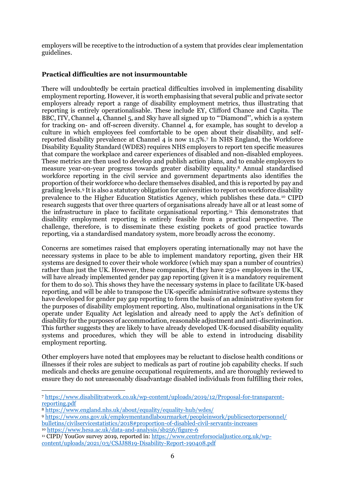employers will be receptive to the introduction of a system that provides clear implementation guidelines.

## **Practical difficulties are not insurmountable**

There will undoubtedly be certain practical difficulties involved in implementing disability employment reporting. However, it is worth emphasising that several public and private sector employers already report a range of disability employment metrics, thus illustrating that reporting is entirely operationalisable. These include EY, Clifford Chance and Capita. The BBC, ITV, Channel 4, Channel 5, and Sky have all signed up to "'Diamond"', which is a system for tracking on- and off-screen diversity. Channel 4, for example, has sought to develop a culture in which employees feel comfortable to be open about their disability, and selfreported disability prevalence at Channel 4 is now 11.5%.<sup>7</sup> In NHS England, the Workforce Disability Equality Standard (WDES) requires NHS employers to report ten specific measures that compare the workplace and career experiences of disabled and non-disabled employees. These metrics are then used to develop and publish action plans, and to enable employers to measure year-on-year progress towards greater disability equality.<sup>8</sup> Annual standardised workforce reporting in the civil service and government departments also identifies the proportion of their workforce who declare themselves disabled, and this is reported by pay and grading levels.<sup>9</sup> It is also a statutory obligation for universities to report on workforce disability prevalence to the Higher Education Statistics Agency, which publishes these data.<sup>10</sup> CIPD research suggests that over three quarters of organisations already have all or at least some of the infrastructure in place to facilitate organisational reporting.<sup>11</sup> This demonstrates that disability employment reporting is entirely feasible from a practical perspective. The challenge, therefore, is to disseminate these existing pockets of good practice towards reporting, via a standardised mandatory system, more broadly across the economy.

Concerns are sometimes raised that employers operating internationally may not have the necessary systems in place to be able to implement mandatory reporting, given their HR systems are designed to cover their whole workforce (which may span a number of countries) rather than just the UK. However, these companies, if they have 250+ employees in the UK, will have already implemented gender pay gap reporting (given it is a mandatory requirement for them to do so). This shows they have the necessary systems in place to facilitate UK-based reporting, and will be able to transpose the UK-specific administrative software systems they have developed for gender pay gap reporting to form the basis of an administrative system for the purposes of disability employment reporting. Also, multinational organisations in the UK operate under Equality Act legislation and already need to apply the Act's definition of disability for the purposes of accommodation, reasonable adjustment and anti-discrimination. This further suggests they are likely to have already developed UK-focused disability equality systems and procedures, which they will be able to extend in introducing disability employment reporting.

Other employers have noted that employees may be reluctant to disclose health conditions or illnesses if their roles are subject to medicals as part of routine job capability checks. If such medicals and checks are genuine occupational requirements, and are thoroughly reviewed to ensure they do not unreasonably disadvantage disabled individuals from fulfilling their roles,

<sup>8</sup> <https://www.england.nhs.uk/about/equality/equality-hub/wdes/>

<sup>9</sup> [https://www.ons.gov.uk/employmentandlabourmarket/peopleinwork/publicsectorpersonnel/](https://www.ons.gov.uk/employmentandlabourmarket/peopleinwork/publicsectorpersonnel/%20bulletins/civilservicestatistics/2018#proportion-of-disabled-civil-servants-increases)  [bulletins/civilservicestatistics/2018#proportion-of-disabled-civil-servants-increases](https://www.ons.gov.uk/employmentandlabourmarket/peopleinwork/publicsectorpersonnel/%20bulletins/civilservicestatistics/2018#proportion-of-disabled-civil-servants-increases)

<sup>10</sup> <https://www.hesa.ac.uk/data-and-analysis/sb256/figure-6>

<sup>-</sup><sup>7</sup> [https://www.disabilityatwork.co.uk/wp-content/uploads/2019/12/Proposal-for-transparent](https://www.disabilityatwork.co.uk/wp-content/uploads/2019/12/Proposal-for-transparent-reporting.pdf)[reporting.pdf](https://www.disabilityatwork.co.uk/wp-content/uploads/2019/12/Proposal-for-transparent-reporting.pdf)

<sup>11</sup> CIPD/ YouGov survey 2019, reported in[: https://www.centreforsocialjustice.org.uk/wp](https://www.centreforsocialjustice.org.uk/wp-content/uploads/2021/03/CSJJ8819-Disability-Report-190408.pdf)[content/uploads/2021/03/CSJJ8819-Disability-Report-190408.pdf](https://www.centreforsocialjustice.org.uk/wp-content/uploads/2021/03/CSJJ8819-Disability-Report-190408.pdf)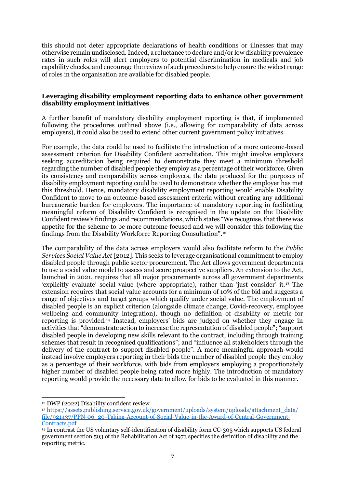this should not deter appropriate declarations of health conditions or illnesses that may otherwise remain undisclosed. Indeed, a reluctance to declare and/or low disability prevalence rates in such roles will alert employers to potential discrimination in medicals and job capability checks, and encourage the review of such procedures to help ensure the widest range of roles in the organisation are available for disabled people.

### **Leveraging disability employment reporting data to enhance other government disability employment initiatives**

A further benefit of mandatory disability employment reporting is that, if implemented following the procedures outlined above (i.e., allowing for comparability of data across employers), it could also be used to extend other current government policy initiatives.

For example, the data could be used to facilitate the introduction of a more outcome-based assessment criterion for Disability Confident accreditation. This might involve employers seeking accreditation being required to demonstrate they meet a minimum threshold regarding the number of disabled people they employ as a percentage of their workforce. Given its consistency and comparability across employers, the data produced for the purposes of disability employment reporting could be used to demonstrate whether the employer has met this threshold. Hence, mandatory disability employment reporting would enable Disability Confident to move to an outcome-based assessment criteria without creating any additional bureaucratic burden for employers. The importance of mandatory reporting in facilitating meaningful reform of Disability Confident is recognised in the update on the Disability Confident review's findings and recommendations, which states "We recognise, that there was appetite for the scheme to be more outcome focused and we will consider this following the findings from the Disability Workforce Reporting Consultation".<sup>12</sup>

The comparability of the data across employers would also facilitate reform to the *Public Services Social Value Act* [2012]. This seeks to leverage organisational commitment to employ disabled people through public sector procurement. The Act allows government departments to use a social value model to assess and score prospective suppliers. An extension to the Act, launched in 2021, requires that all major procurements across all government departments 'explicitly evaluate' social value (where appropriate), rather than 'just consider' it.<sup>13</sup> The extension requires that social value accounts for a minimum of 10% of the bid and suggests a range of objectives and target groups which qualify under social value. The employment of disabled people is an explicit criterion (alongside climate change, Covid-recovery, employee wellbeing and community integration), though no definition of disability or metric for reporting is provided.<sup>14</sup> Instead, employers' bids are judged on whether they engage in activities that "demonstrate action to increase the representation of disabled people"; "support disabled people in developing new skills relevant to the contract, including through training schemes that result in recognised qualifications"; and "influence all stakeholders through the delivery of the contract to support disabled people". A more meaningful approach would instead involve employers reporting in their bids the number of disabled people they employ as a percentage of their workforce, with bids from employers employing a proportionately higher number of disabled people being rated more highly. The introduction of mandatory reporting would provide the necessary data to allow for bids to be evaluated in this manner.

<sup>1</sup> <sup>12</sup> DWP (2022) Disability confident review

<sup>13</sup> [https://assets.publishing.service.gov.uk/government/uploads/system/uploads/attachment\\_data/](https://assets.publishing.service.gov.uk/government/uploads/system/uploads/attachment_data/%20file/921437/PPN-06_20-Taking-Account-of-Social-Value-in-the-Award-of-Central-Government-Contracts.pdf)  [file/921437/PPN-06\\_20-Taking-Account-of-Social-Value-in-the-Award-of-Central-Government-](https://assets.publishing.service.gov.uk/government/uploads/system/uploads/attachment_data/%20file/921437/PPN-06_20-Taking-Account-of-Social-Value-in-the-Award-of-Central-Government-Contracts.pdf)[Contracts.pdf](https://assets.publishing.service.gov.uk/government/uploads/system/uploads/attachment_data/%20file/921437/PPN-06_20-Taking-Account-of-Social-Value-in-the-Award-of-Central-Government-Contracts.pdf)

<sup>14</sup> In contrast the US voluntary self-identification of disability form CC-305 which supports US federal government section 503 of the Rehabilitation Act of 1973 specifies the definition of disability and the reporting metric.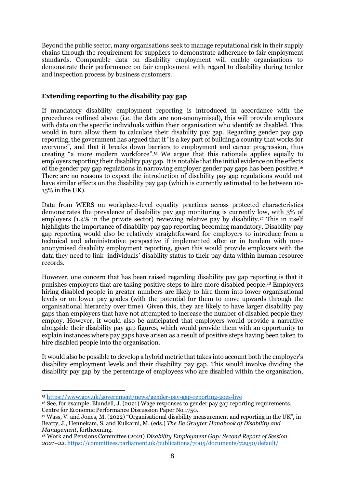Beyond the public sector, many organisations seek to manage reputational risk in their supply chains through the requirement for suppliers to demonstrate adherence to fair employment standards. Comparable data on disability employment will enable organisations to demonstrate their performance on fair employment with regard to disability during tender and inspection process by business customers.

## **Extending reporting to the disability pay gap**

If mandatory disability employment reporting is introduced in accordance with the procedures outlined above (i.e. the data are non-anonymised), this will provide employers with data on the specific individuals within their organisation who identify as disabled. This would in turn allow them to calculate their disability pay gap. Regarding gender pay gap reporting, the government has argued that it "is a key part of building a country that works for everyone", and that it breaks down barriers to employment and career progression, thus creating "a more modern workforce". <sup>15</sup> We argue that this rationale applies equally to employers reporting their disability pay gap. It is notable that the initial evidence on the effects of the gender pay gap regulations in narrowing employer gender pay gaps has been positive.<sup>16</sup> There are no reasons to expect the introduction of disability pay gap regulations would not have similar effects on the disability pay gap (which is currently estimated to be between 10-15% in the UK).

Data from WERS on workplace-level equality practices across protected characteristics demonstrates the prevalence of disability pay gap monitoring is currently low, with 3% of employers (1.4% in the private sector) reviewing relative pay by disability.<sup>17</sup> This in itself highlights the importance of disability pay gap reporting becoming mandatory. Disability pay gap reporting would also be relatively straightforward for employers to introduce from a technical and administrative perspective if implemented after or in tandem with nonanonymised disability employment reporting, given this would provide employers with the data they need to link individuals' disability status to their pay data within human resource records.

However, one concern that has been raised regarding disability pay gap reporting is that it punishes employers that are taking positive steps to hire more disabled people. <sup>18</sup> Employers hiring disabled people in greater numbers are likely to hire them into lower organisational levels or on lower pay grades (with the potential for them to move upwards through the organisational hierarchy over time). Given this, they are likely to have larger disability pay gaps than employers that have not attempted to increase the number of disabled people they employ. However, it would also be anticipated that employers would provide a narrative alongside their disability pay gap figures, which would provide them with an opportunity to explain instances where pay gaps have arisen as a result of positive steps having been taken to hire disabled people into the organisation.

It would also be possible to develop a hybrid metric that takes into account both the employer's disability employment levels and their disability pay gap. This would involve dividing the disability pay gap by the percentage of employees who are disabled within the organisation,

<sup>-</sup><sup>15</sup> <https://www.gov.uk/government/news/gender-pay-gap-reporting-goes-live>

<sup>&</sup>lt;sup>16</sup> See, for example, Blundell, J. (2021) Wage responses to gender pay gap reporting requirements, Centre for Economic Performance Discussion Paper No.1750.

<sup>17</sup> Wass, V. and Jones, M. (2022) "Organisational disability measurement and reporting in the UK", in Beatty, J., Hennekam, S. and Kulkarni, M. (eds.) *The De Gruyter Handbook of Disability and Management*, forthcoming.

<sup>18</sup> Work and Pensions Committee (2021) *Disability Employment Gap: Second Report of Session 2021–22*.<https://committees.parliament.uk/publications/7005/documents/72950/default/>